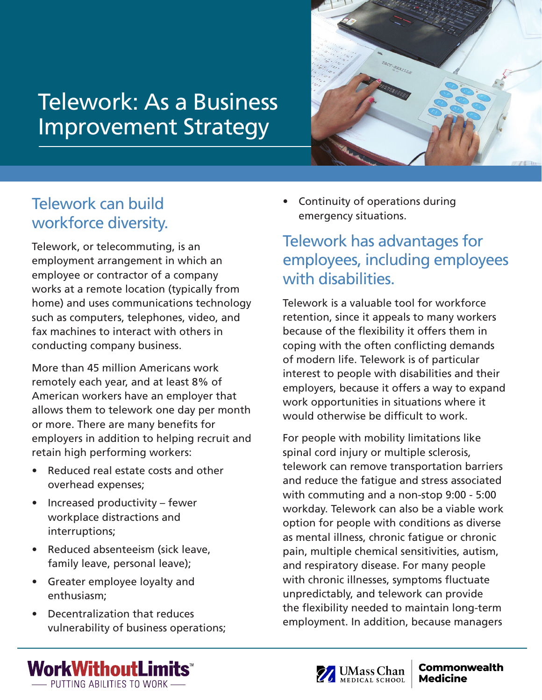## Telework: As a Business Improvement Strategy



## Telework can build workforce diversity.

Telework, or telecommuting, is an employment arrangement in which an employee or contractor of a company works at a remote location (typically from home) and uses communications technology such as computers, telephones, video, and fax machines to interact with others in conducting company business.

More than 45 million Americans work remotely each year, and at least 8% of American workers have an employer that allows them to telework one day per month or more. There are many benefits for employers in addition to helping recruit and retain high performing workers:

- Reduced real estate costs and other overhead expenses;
- Increased productivity fewer workplace distractions and interruptions;
- Reduced absenteeism (sick leave, family leave, personal leave);
- Greater employee loyalty and enthusiasm;
- Decentralization that reduces vulnerability of business operations;

• Continuity of operations during emergency situations.

## Telework has advantages for employees, including employees with disabilities.

Telework is a valuable tool for workforce retention, since it appeals to many workers because of the flexibility it offers them in coping with the often conflicting demands of modern life. Telework is of particular interest to people with disabilities and their employers, because it offers a way to expand work opportunities in situations where it would otherwise be difficult to work.

For people with mobility limitations like spinal cord injury or multiple sclerosis, telework can remove transportation barriers and reduce the fatigue and stress associated with commuting and a non-stop 9:00 - 5:00 workday. Telework can also be a viable work option for people with conditions as diverse as mental illness, chronic fatigue or chronic pain, multiple chemical sensitivities, autism, and respiratory disease. For many people with chronic illnesses, symptoms fluctuate unpredictably, and telework can provide the flexibility needed to maintain long-term employment. In addition, because managers